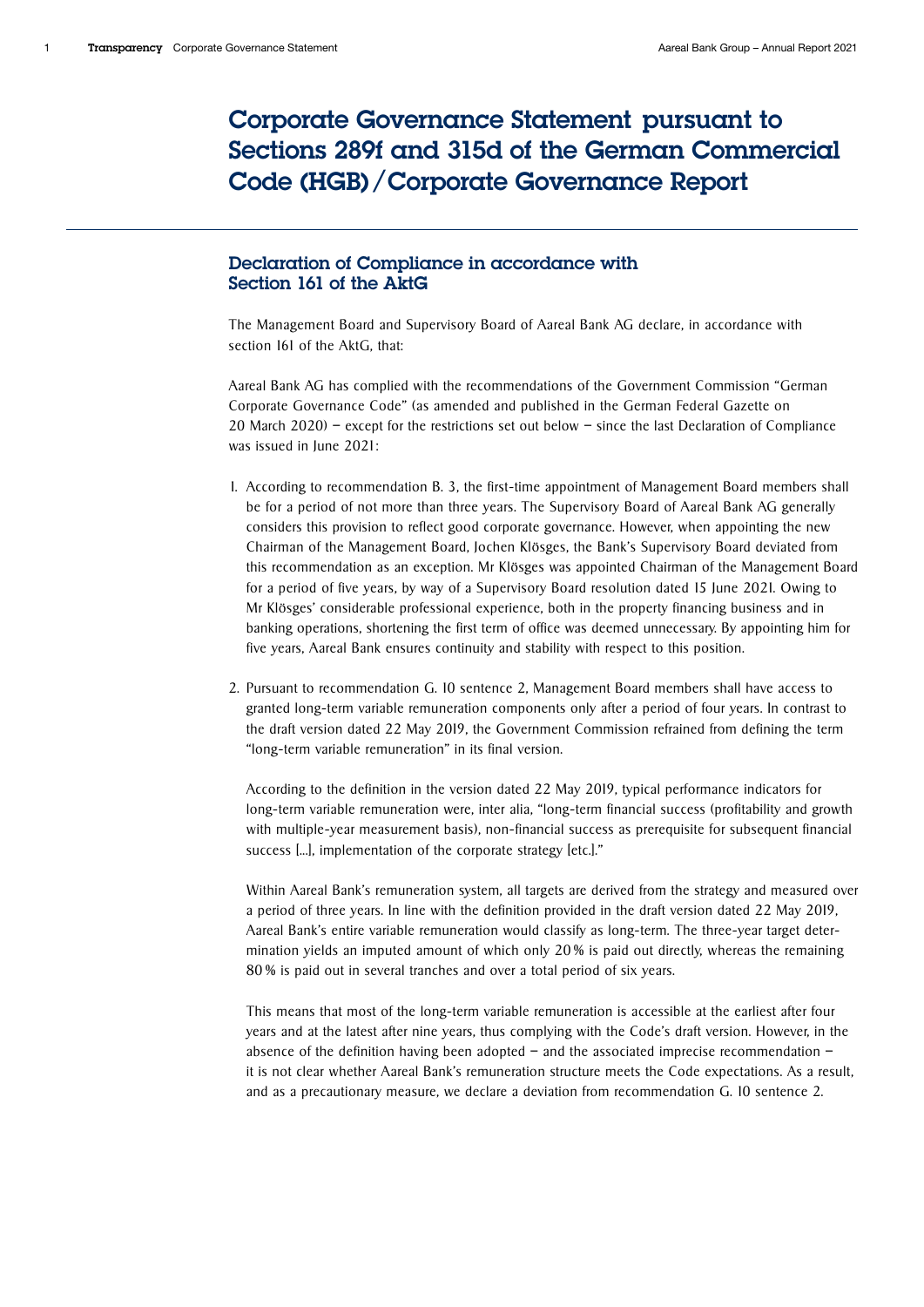# Corporate Governance Statement pursuant to Sections 289f and 315d of the German Commercial Code (HGB)/Corporate Governance Report

# Declaration of Compliance in accordance with Section 161 of the AktG

The Management Board and Supervisory Board of Aareal Bank AG declare, in accordance with section 161 of the AktG, that:

Aareal Bank AG has complied with the recommendations of the Government Commission "German Corporate Governance Code" (as amended and published in the German Federal Gazette on 20 March 2020) – except for the restrictions set out below – since the last Declaration of Compliance was issued in June 2021:

- 1. According to recommendation B. 3, the first-time appointment of Management Board members shall be for a period of not more than three years. The Supervisory Board of Aareal Bank AG generally considers this provision to reflect good corporate governance. However, when appointing the new Chairman of the Management Board, Jochen Klösges, the Bank's Supervisory Board deviated from this recommendation as an exception. Mr Klösges was appointed Chairman of the Management Board for a period of five years, by way of a Supervisory Board resolution dated 15 June 2021. Owing to Mr Klösges' considerable professional experience, both in the property financing business and in banking operations, shortening the first term of office was deemed unnecessary. By appointing him for five years, Aareal Bank ensures continuity and stability with respect to this position.
- 2. Pursuant to recommendation G. 10 sentence 2, Management Board members shall have access to granted long-term variable remuneration components only after a period of four years. In contrast to the draft version dated 22 May 2019, the Government Commission refrained from defining the term "long-term variable remuneration" in its final version.

 According to the definition in the version dated 22 May 2019, typical performance indicators for long-term variable remuneration were, inter alia, "long-term financial success (profitability and growth with multiple-year measurement basis), non-financial success as prerequisite for subsequent financial success [...], implementation of the corporate strategy [etc.]."

 Within Aareal Bank's remuneration system, all targets are derived from the strategy and measured over a period of three years. In line with the definition provided in the draft version dated 22 May 2019, Aareal Bank's entire variable remuneration would classify as long-term. The three-year target determination yields an imputed amount of which only 20 % is paid out directly, whereas the remaining 80 % is paid out in several tranches and over a total period of six years.

 This means that most of the long-term variable remuneration is accessible at the earliest after four years and at the latest after nine years, thus complying with the Code's draft version. However, in the absence of the definition having been adopted – and the associated imprecise recommendation – it is not clear whether Aareal Bank's remuneration structure meets the Code expectations. As a result, and as a precautionary measure, we declare a deviation from recommendation G. 10 sentence 2.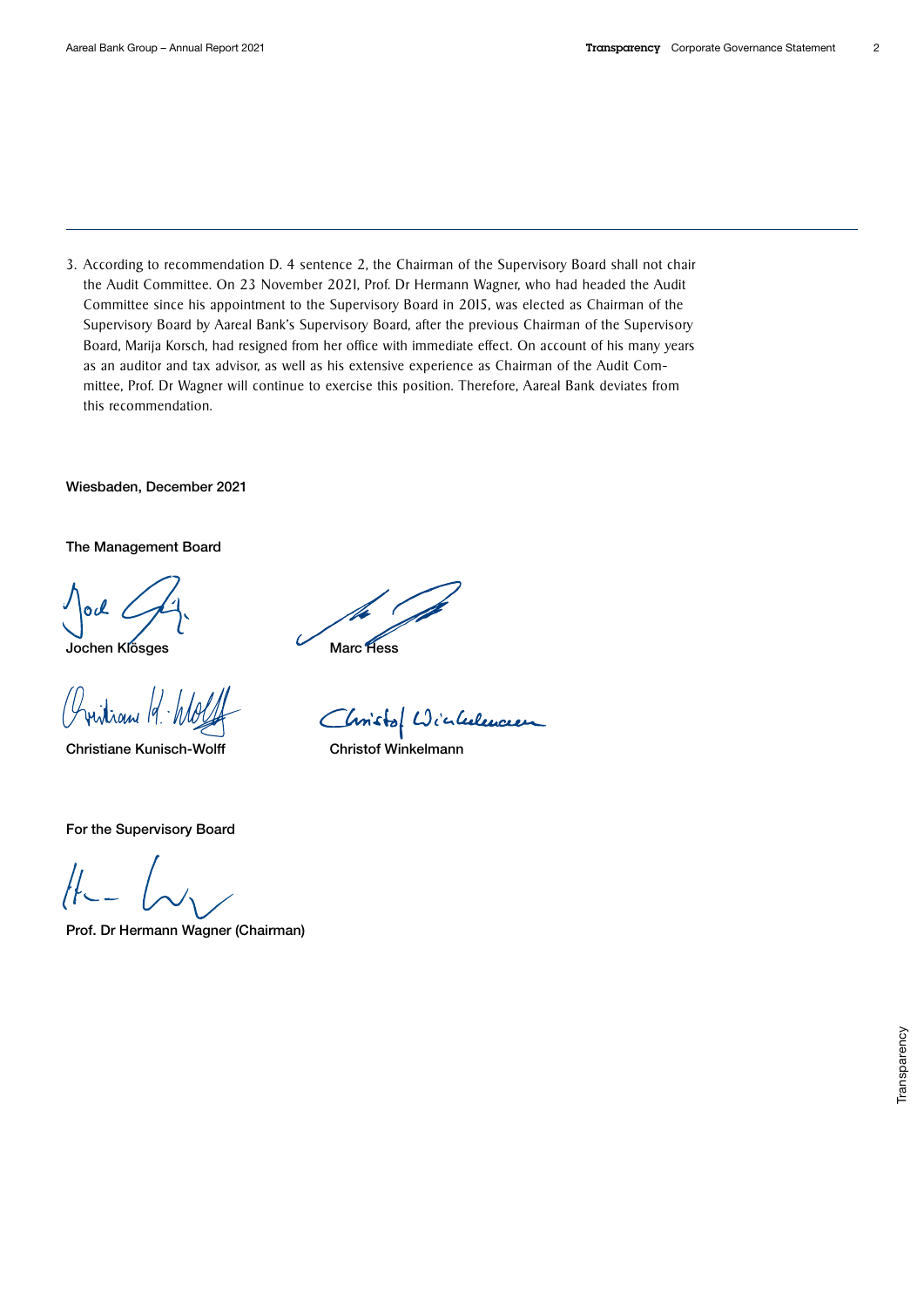3. According to recommendation D. 4 sentence 2, the Chairman of the Supervisory Board shall not chair the Audit Committee. On 23 November 2021, Prof. Dr Hermann Wagner, who had headed the Audit Committee since his appointment to the Supervisory Board in 2015, was elected as Chairman of the Supervisory Board by Aareal Bank's Supervisory Board, after the previous Chairman of the Supervisory Board, Marija Korsch, had resigned from her office with immediate effect. On account of his many years as an auditor and tax advisor, as well as his extensive experience as Chairman of the Audit Committee, Prof. Dr Wagner will continue to exercise this position. Therefore, Aareal Bank deviates from this recommendation.

Wiesbaden, December 2021

The Management Board

0cl

Jochen Klösges Marc Hess

Juitian 19

Christiane Kunisch-Wolff Christof Winkelmann

Christof Winkelencen

For the Supervisory Board

Prof. Dr Hermann Wagner (Chairman)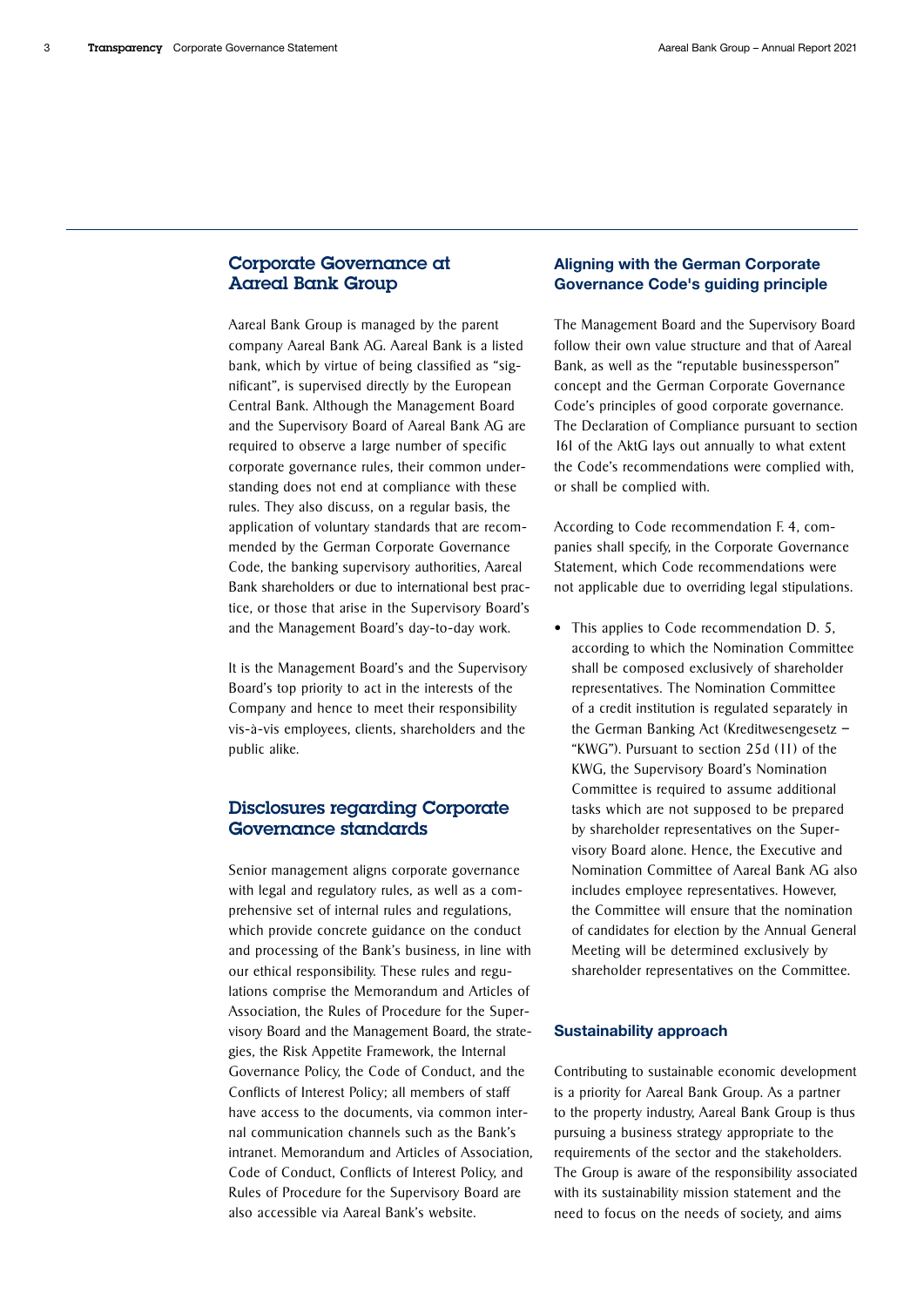### Corporate Governance at Aareal Bank Group

Aareal Bank Group is managed by the parent company Aareal Bank AG. Aareal Bank is a listed bank, which by virtue of being classified as "significant", is supervised directly by the European Central Bank. Although the Management Board and the Supervisory Board of Aareal Bank AG are required to observe a large number of specific corporate governance rules, their common understanding does not end at compliance with these rules. They also discuss, on a regular basis, the application of voluntary standards that are recommended by the German Corporate Governance Code, the banking supervisory authorities, Aareal Bank shareholders or due to international best practice, or those that arise in the Supervisory Board's and the Management Board's day-to-day work.

It is the Management Board's and the Supervisory Board's top priority to act in the interests of the Company and hence to meet their responsibility vis-à-vis employees, clients, shareholders and the public alike.

# Disclosures regarding Corporate Governance standards

Senior management aligns corporate governance with legal and regulatory rules, as well as a comprehensive set of internal rules and regulations, which provide concrete guidance on the conduct and processing of the Bank's business, in line with our ethical responsibility. These rules and regulations comprise the Memorandum and Articles of Association, the Rules of Procedure for the Supervisory Board and the Management Board, the strategies, the Risk Appetite Framework, the Internal Governance Policy, the Code of Conduct, and the Conflicts of Interest Policy; all members of staff have access to the documents, via common internal communication channels such as the Bank's intranet. Memorandum and Articles of Association, Code of Conduct, Conflicts of Interest Policy, and Rules of Procedure for the Supervisory Board are also accessible via Aareal Bank's website.

# Aligning with the German Corporate Governance Code's guiding principle

The Management Board and the Supervisory Board follow their own value structure and that of Aareal Bank, as well as the "reputable businessperson" concept and the German Corporate Governance Code's principles of good corporate governance. The Declaration of Compliance pursuant to section 161 of the AktG lays out annually to what extent the Code's recommendations were complied with, or shall be complied with.

According to Code recommendation F. 4, companies shall specify, in the Corporate Governance Statement, which Code recommendations were not applicable due to overriding legal stipulations.

• This applies to Code recommendation D. 5, according to which the Nomination Committee shall be composed exclusively of shareholder representatives. The Nomination Committee of a credit institution is regulated separately in the German Banking Act (Kreditwesengesetz – "KWG"). Pursuant to section 25d (11) of the KWG, the Supervisory Board's Nomination Committee is required to assume additional tasks which are not supposed to be prepared by shareholder representatives on the Supervisory Board alone. Hence, the Executive and Nomination Committee of Aareal Bank AG also includes employee representatives. However, the Committee will ensure that the nomination of candidates for election by the Annual General Meeting will be determined exclusively by shareholder representatives on the Committee.

### Sustainability approach

Contributing to sustainable economic development is a priority for Aareal Bank Group. As a partner to the property industry, Aareal Bank Group is thus pursuing a business strategy appropriate to the requirements of the sector and the stakeholders. The Group is aware of the responsibility associated with its sustainability mission statement and the need to focus on the needs of society, and aims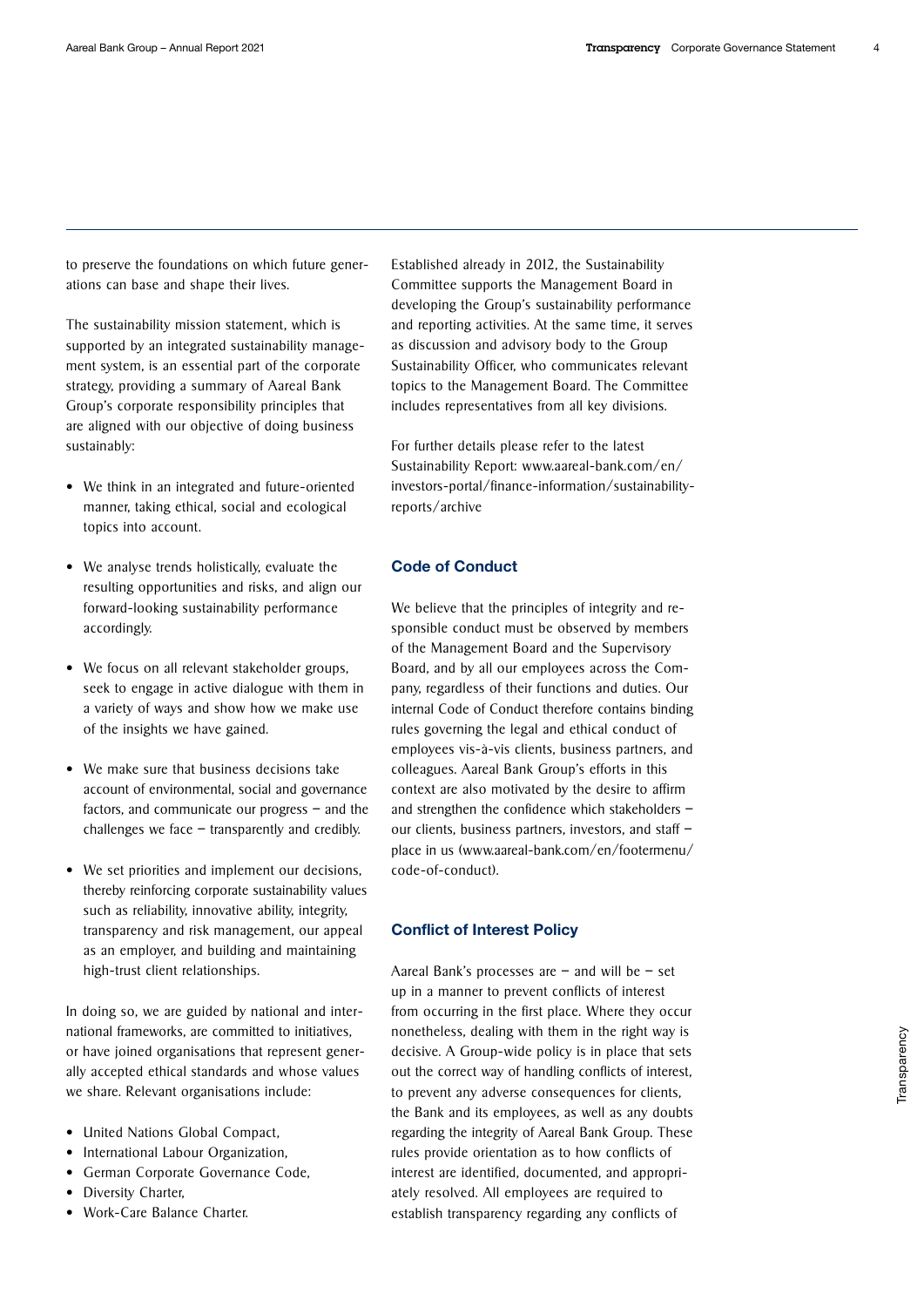to preserve the foundations on which future generations can base and shape their lives.

The sustainability mission statement, which is supported by an integrated sustainability management system, is an essential part of the corporate strategy, providing a summary of Aareal Bank Group's corporate responsibility principles that are aligned with our objective of doing business sustainably:

- We think in an integrated and future-oriented manner, taking ethical, social and ecological topics into account.
- We analyse trends holistically, evaluate the resulting opportunities and risks, and align our forward-looking sustainability performance accordingly.
- We focus on all relevant stakeholder groups, seek to engage in active dialogue with them in a variety of ways and show how we make use of the insights we have gained.
- We make sure that business decisions take account of environmental, social and governance factors, and communicate our progress – and the challenges we face – transparently and credibly.
- We set priorities and implement our decisions, thereby reinforcing corporate sustainability values such as reliability, innovative ability, integrity, transparency and risk management, our appeal as an employer, and building and maintaining high-trust client relationships.

In doing so, we are guided by national and international frameworks, are committed to initiatives, or have joined organisations that represent generally accepted ethical standards and whose values we share. Relevant organisations include:

- United Nations Global Compact,
- International Labour Organization,
- German Corporate Governance Code,
- Diversity Charter,
- Work-Care Balance Charter.

Established already in 2012, the Sustainability Committee supports the Management Board in developing the Group's sustainability performance and reporting activities. At the same time, it serves as discussion and advisory body to the Group Sustainability Officer, who communicates relevant topics to the Management Board. The Committee includes representatives from all key divisions.

For further details please refer to the latest Sustainability Report: [www.aareal-bank.com/en/](https://www.aareal-bank.com/en/investors-portal/finance-information/sustainability-reports/archive) [investors-portal/finance-information/sustainability](https://www.aareal-bank.com/en/investors-portal/finance-information/sustainability-reports/archive)[reports/archive](https://www.aareal-bank.com/en/investors-portal/finance-information/sustainability-reports/archive)

### Code of Conduct

We believe that the principles of integrity and responsible conduct must be observed by members of the Management Board and the Supervisory Board, and by all our employees across the Company, regardless of their functions and duties. Our internal Code of Conduct therefore contains binding rules governing the legal and ethical conduct of employees vis-à-vis clients, business partners, and colleagues. Aareal Bank Group's efforts in this context are also motivated by the desire to affirm and strengthen the confidence which stakeholders – our clients, business partners, investors, and staff – place in us [\(www.aareal-bank.com/en/footermenu/](https://www.aareal-bank.com/en/footermenu/code-of-conduct) [code-of-conduct\).](https://www.aareal-bank.com/en/footermenu/code-of-conduct) 

#### Conflict of Interest Policy

Aareal Bank's processes are – and will be – set up in a manner to prevent conflicts of interest from occurring in the first place. Where they occur nonetheless, dealing with them in the right way is decisive. A Group-wide policy is in place that sets out the correct way of handling conflicts of interest, to prevent any adverse consequences for clients, the Bank and its employees, as well as any doubts regarding the integrity of Aareal Bank Group. These rules provide orientation as to how conflicts of interest are identified, documented, and appropriately resolved. All employees are required to establish transparency regarding any conflicts of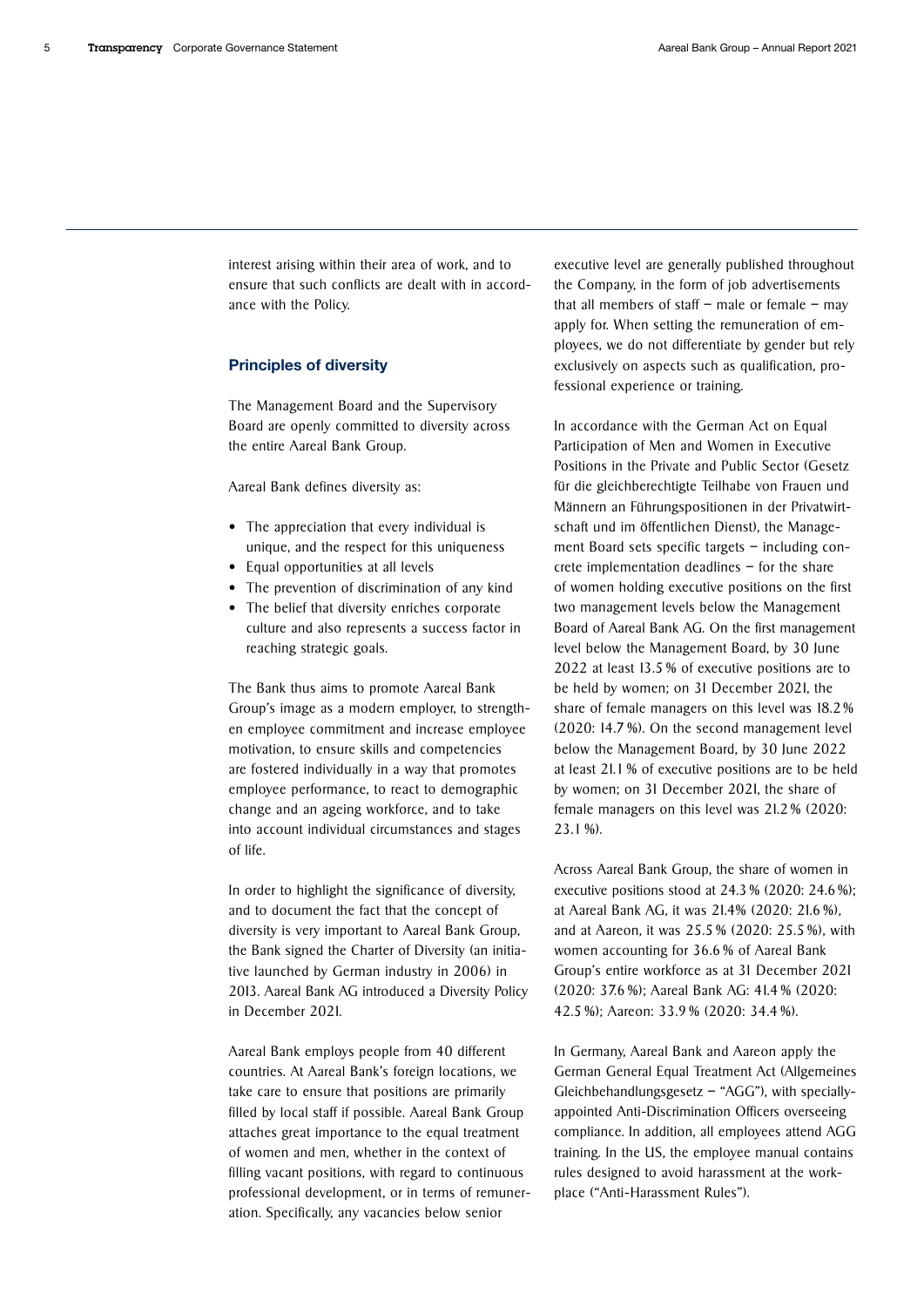interest arising within their area of work, and to ensure that such conflicts are dealt with in accordance with the Policy.

#### Principles of diversity

The Management Board and the Supervisory Board are openly committed to diversity across the entire Aareal Bank Group.

Aareal Bank defines diversity as:

- The appreciation that every individual is unique, and the respect for this uniqueness
- Equal opportunities at all levels
- The prevention of discrimination of any kind
- The belief that diversity enriches corporate culture and also represents a success factor in reaching strategic goals.

The Bank thus aims to promote Aareal Bank Group's image as a modern employer, to strengthen employee commitment and increase employee motivation, to ensure skills and competencies are fostered individually in a way that promotes employee performance, to react to demographic change and an ageing workforce, and to take into account individual circumstances and stages of life.

In order to highlight the significance of diversity, and to document the fact that the concept of diversity is very important to Aareal Bank Group, the Bank signed the Charter of Diversity (an initiative launched by German industry in 2006) in 2013. Aareal Bank AG introduced a Diversity Policy in December 2021.

Aareal Bank employs people from 40 different countries. At Aareal Bank's foreign locations, we take care to ensure that positions are primarily filled by local staff if possible. Aareal Bank Group attaches great importance to the equal treatment of women and men, whether in the context of filling vacant positions, with regard to continuous professional development, or in terms of remuneration. Specifically, any vacancies below senior

executive level are generally published throughout the Company, in the form of job advertisements that all members of staff  $-$  male or female  $-$  may apply for. When setting the remuneration of employees, we do not differentiate by gender but rely exclusively on aspects such as qualification, professional experience or training.

In accordance with the German Act on Equal Participation of Men and Women in Executive Positions in the Private and Public Sector (Gesetz für die gleichberechtigte Teilhabe von Frauen und Männern an Führungspositionen in der Privatwirtschaft und im öffentlichen Dienst), the Management Board sets specific targets – including concrete implementation deadlines – for the share of women holding executive positions on the first two management levels below the Management Board of Aareal Bank AG. On the first management level below the Management Board, by 30 June 2022 at least 13.5 % of executive positions are to be held by women; on 31 December 2021, the share of female managers on this level was 18.2 % (2020: 14.7 %). On the second management level below the Management Board, by 30 June 2022 at least 21.1 % of executive positions are to be held by women; on 31 December 2021, the share of female managers on this level was 21.2 % (2020: 23.1 %).

Across Aareal Bank Group, the share of women in executive positions stood at 24.3 % (2020: 24.6 %); at Aareal Bank AG, it was 21.4% (2020: 21.6 %), and at Aareon, it was 25.5 % (2020: 25.5 %), with women accounting for 36.6 % of Aareal Bank Group's entire workforce as at 31 December 2021 (2020: 37.6 %); Aareal Bank AG: 41.4 % (2020: 42.5 %); Aareon: 33.9 % (2020: 34.4 %).

In Germany, Aareal Bank and Aareon apply the German General Equal Treatment Act (Allgemeines Gleichbehandlungsgesetz  $-$  "AGG"), with speciallyappointed Anti-Discrimination Officers overseeing compliance. In addition, all employees attend AGG training. In the US, the employee manual contains rules designed to avoid harassment at the workplace ("Anti-Harassment Rules").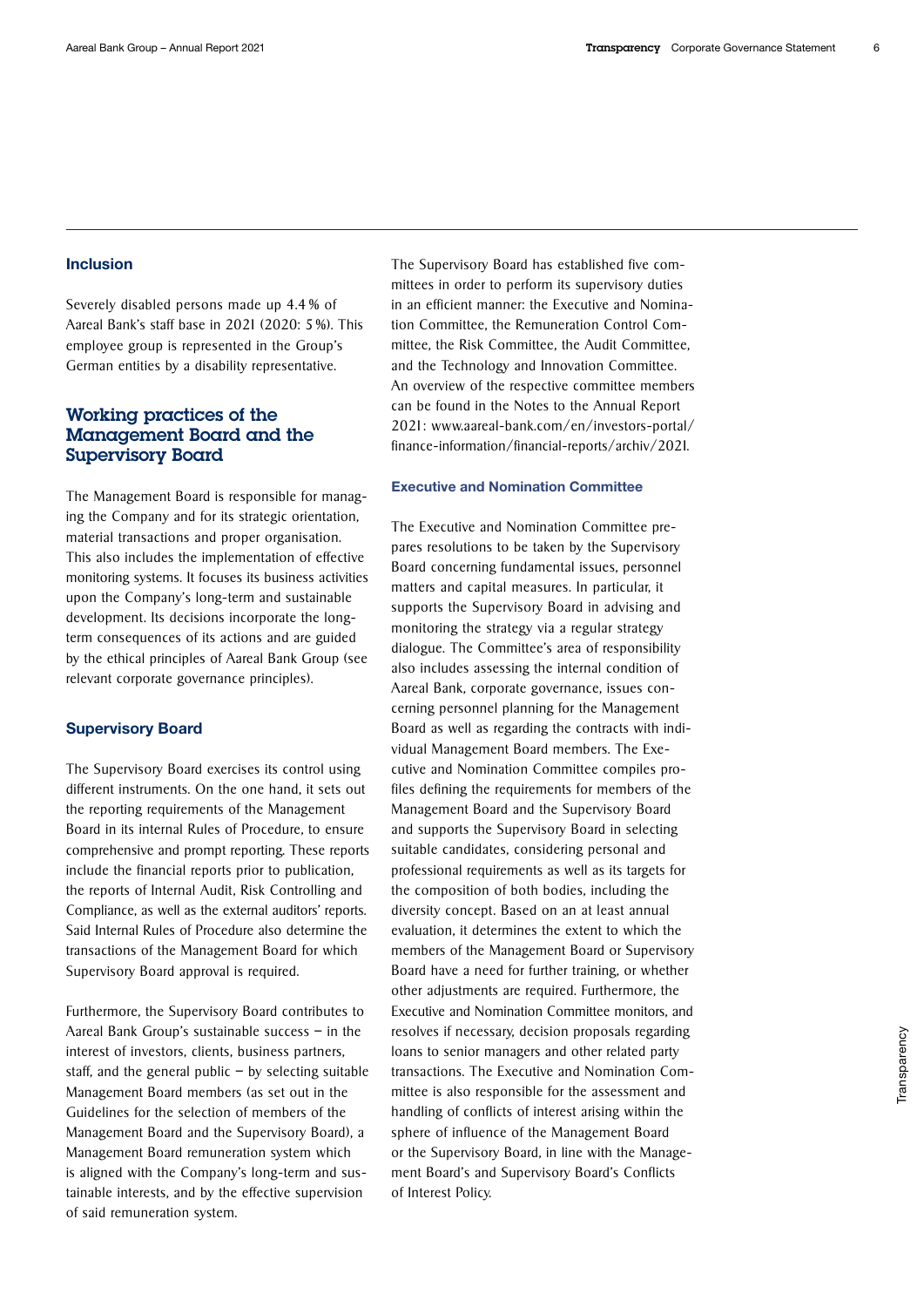### Inclusion

Severely disabled persons made up 4.4 % of Aareal Bank's staff base in 2021 (2020: 5 %). This employee group is represented in the Group's German entities by a disability representative.

# Working practices of the Management Board and the Supervisory Board

The Management Board is responsible for managing the Company and for its strategic orientation, material transactions and proper organisation. This also includes the implementation of effective monitoring systems. It focuses its business activities upon the Company's long-term and sustainable development. Its decisions incorporate the longterm consequences of its actions and are guided by the ethical principles of Aareal Bank Group (see relevant corporate governance principles).

### Supervisory Board

The Supervisory Board exercises its control using different instruments. On the one hand, it sets out the reporting requirements of the Management Board in its internal Rules of Procedure, to ensure comprehensive and prompt reporting. These reports include the financial reports prior to publication, the reports of Internal Audit, Risk Controlling and Compliance, as well as the external auditors' reports. Said Internal Rules of Procedure also determine the transactions of the Management Board for which Supervisory Board approval is required.

Furthermore, the Supervisory Board contributes to Aareal Bank Group's sustainable success – in the interest of investors, clients, business partners, staff, and the general public  $-$  by selecting suitable Management Board members (as set out in the Guidelines for the selection of members of the Management Board and the Supervisory Board), a Management Board remuneration system which is aligned with the Company's long-term and sustainable interests, and by the effective supervision of said remuneration system.

The Supervisory Board has established five committees in order to perform its supervisory duties in an efficient manner: the Executive and Nomination Committee, the Remuneration Control Committee, the Risk Committee, the Audit Committee, and the Technology and Innovation Committee. An overview of the respective committee members can be found in the Notes to the Annual Report [2021: www.aareal-bank.com/en/investors-portal/](https://www.aareal-bank.com/en/investors-portal/finance-information/financial-reports/archiv/2021) [finance-information/financial-reports/archiv/2021.](https://www.aareal-bank.com/en/investors-portal/finance-information/financial-reports/archiv/2021)

#### Executive and Nomination Committee

The Executive and Nomination Committee prepares resolutions to be taken by the Supervisory Board concerning fundamental issues, personnel matters and capital measures. In particular, it supports the Supervisory Board in advising and monitoring the strategy via a regular strategy dialogue. The Committee's area of responsibility also includes assessing the internal condition of Aareal Bank, corporate governance, issues concerning personnel planning for the Management Board as well as regarding the contracts with individual Management Board members. The Executive and Nomination Committee compiles profiles defining the requirements for members of the Management Board and the Supervisory Board and supports the Supervisory Board in selecting suitable candidates, considering personal and professional requirements as well as its targets for the composition of both bodies, including the diversity concept. Based on an at least annual evaluation, it determines the extent to which the members of the Management Board or Supervisory Board have a need for further training, or whether other adjustments are required. Furthermore, the Executive and Nomination Committee monitors, and resolves if necessary, decision proposals regarding loans to senior managers and other related party transactions. The Executive and Nomination Committee is also responsible for the assessment and handling of conflicts of interest arising within the sphere of influence of the Management Board or the Supervisory Board, in line with the Management Board's and Supervisory Board's Conflicts of Interest Policy.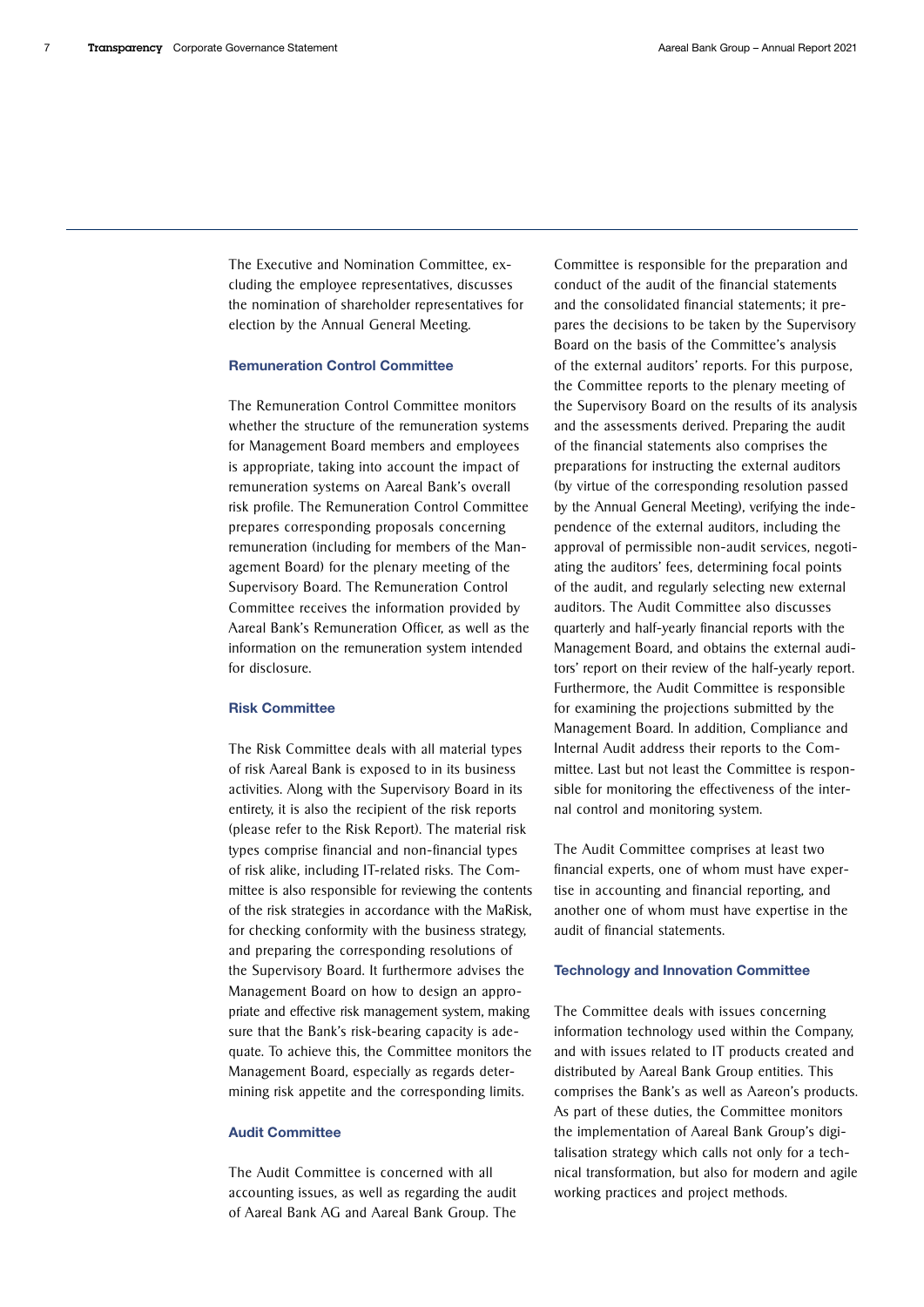The Executive and Nomination Committee, excluding the employee representatives, discusses the nomination of shareholder representatives for election by the Annual General Meeting.

#### Remuneration Control Committee

The Remuneration Control Committee monitors whether the structure of the remuneration systems for Management Board members and employees is appropriate, taking into account the impact of remuneration systems on Aareal Bank's overall risk profile. The Remuneration Control Committee prepares corresponding proposals concerning remuneration (including for members of the Management Board) for the plenary meeting of the Supervisory Board. The Remuneration Control Committee receives the information provided by Aareal Bank's Remuneration Officer, as well as the information on the remuneration system intended for disclosure.

#### Risk Committee

The Risk Committee deals with all material types of risk Aareal Bank is exposed to in its business activities. Along with the Supervisory Board in its entirety, it is also the recipient of the risk reports (please refer to the Risk Report). The material risk types comprise financial and non-financial types of risk alike, including IT-related risks. The Committee is also responsible for reviewing the contents of the risk strategies in accordance with the MaRisk, for checking conformity with the business strategy, and preparing the corresponding resolutions of the Supervisory Board. It furthermore advises the Management Board on how to design an appropriate and effective risk management system, making sure that the Bank's risk-bearing capacity is adequate. To achieve this, the Committee monitors the Management Board, especially as regards determining risk appetite and the corresponding limits.

#### Audit Committee

The Audit Committee is concerned with all accounting issues, as well as regarding the audit of Aareal Bank AG and Aareal Bank Group. The Committee is responsible for the preparation and conduct of the audit of the financial statements and the consolidated financial statements; it prepares the decisions to be taken by the Supervisory Board on the basis of the Committee's analysis of the external auditors' reports. For this purpose, the Committee reports to the plenary meeting of the Supervisory Board on the results of its analysis and the assessments derived. Preparing the audit of the financial statements also comprises the preparations for instructing the external auditors (by virtue of the corresponding resolution passed by the Annual General Meeting), verifying the independence of the external auditors, including the approval of permissible non-audit services, negotiating the auditors' fees, determining focal points of the audit, and regularly selecting new external auditors. The Audit Committee also discusses quarterly and half-yearly financial reports with the Management Board, and obtains the external auditors' report on their review of the half-yearly report. Furthermore, the Audit Committee is responsible for examining the projections submitted by the Management Board. In addition, Compliance and Internal Audit address their reports to the Committee. Last but not least the Committee is responsible for monitoring the effectiveness of the internal control and monitoring system.

The Audit Committee comprises at least two financial experts, one of whom must have expertise in accounting and financial reporting, and another one of whom must have expertise in the audit of financial statements.

#### Technology and Innovation Committee

The Committee deals with issues concerning information technology used within the Company, and with issues related to IT products created and distributed by Aareal Bank Group entities. This comprises the Bank's as well as Aareon's products. As part of these duties, the Committee monitors the implementation of Aareal Bank Group's digitalisation strategy which calls not only for a technical transformation, but also for modern and agile working practices and project methods.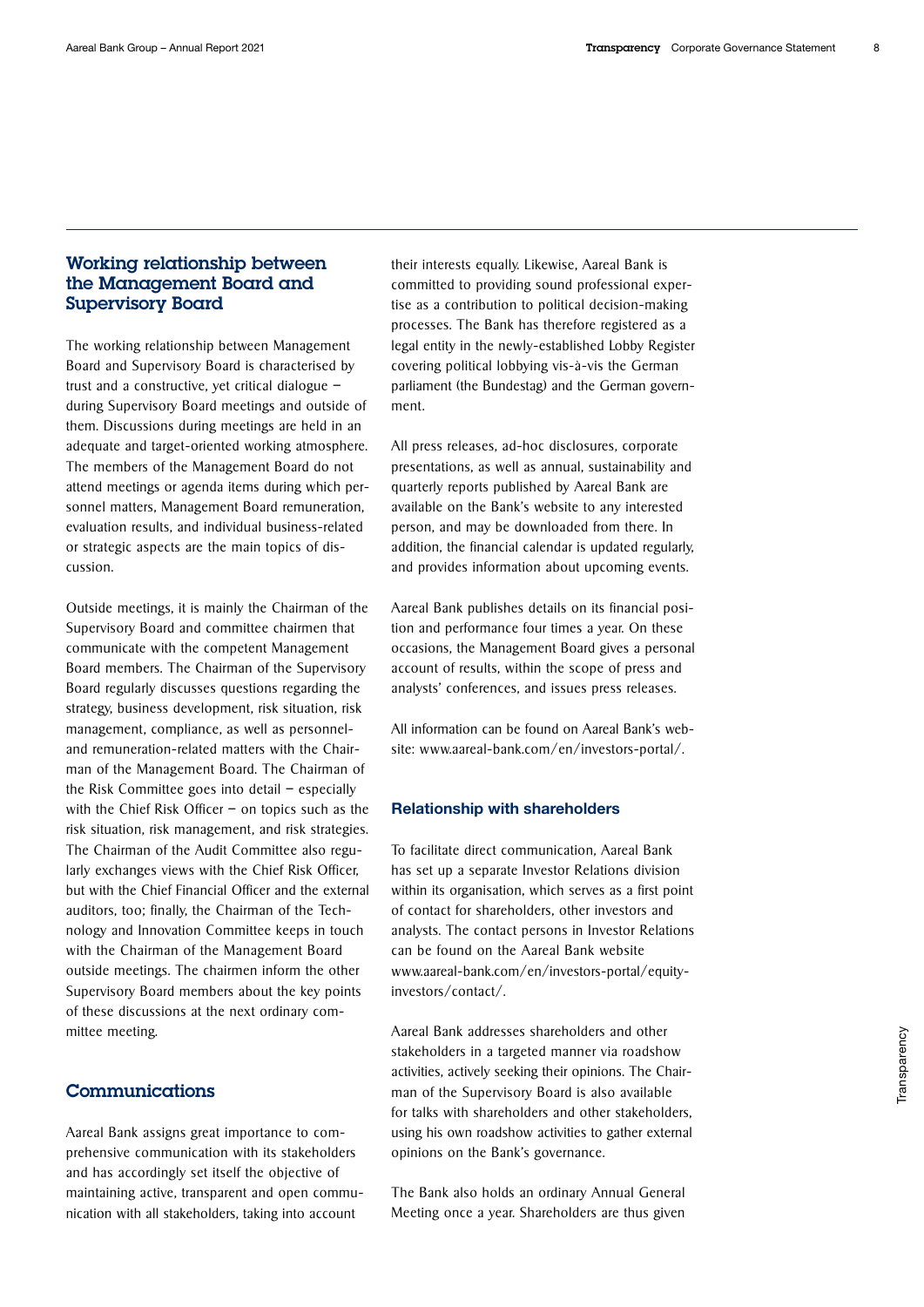# Working relationship between the Management Board and Supervisory Board

The working relationship between Management Board and Supervisory Board is characterised by trust and a constructive, yet critical dialogue – during Supervisory Board meetings and outside of them. Discussions during meetings are held in an adequate and target-oriented working atmosphere. The members of the Management Board do not attend meetings or agenda items during which personnel matters, Management Board remuneration, evaluation results, and individual business-related or strategic aspects are the main topics of discussion.

Outside meetings, it is mainly the Chairman of the Supervisory Board and committee chairmen that communicate with the competent Management Board members. The Chairman of the Supervisory Board regularly discusses questions regarding the strategy, business development, risk situation, risk management, compliance, as well as personneland remuneration-related matters with the Chairman of the Management Board. The Chairman of the Risk Committee goes into detail – especially with the Chief Risk Officer – on topics such as the risk situation, risk management, and risk strategies. The Chairman of the Audit Committee also regularly exchanges views with the Chief Risk Officer, but with the Chief Financial Officer and the external auditors, too; finally, the Chairman of the Technology and Innovation Committee keeps in touch with the Chairman of the Management Board outside meetings. The chairmen inform the other Supervisory Board members about the key points of these discussions at the next ordinary committee meeting.

# Communications

Aareal Bank assigns great importance to comprehensive communication with its stakeholders and has accordingly set itself the objective of maintaining active, transparent and open communication with all stakeholders, taking into account

their interests equally. Likewise, Aareal Bank is committed to providing sound professional expertise as a contribution to political decision-making processes. The Bank has therefore registered as a legal entity in the newly-established Lobby Register covering political lobbying vis-à-vis the German parliament (the Bundestag) and the German government.

All press releases, ad-hoc disclosures, corporate presentations, as well as annual, sustainability and quarterly reports published by Aareal Bank are available on the Bank's website to any interested person, and may be downloaded from there. In addition, the financial calendar is updated regularly, and provides information about upcoming events.

Aareal Bank publishes details on its financial position and performance four times a year. On these occasions, the Management Board gives a personal account of results, within the scope of press and analysts' conferences, and issues press releases.

All information can be found on Aareal Bank's web[site: www.aareal-bank.com/en/investors-portal/.](https://www.aareal-bank.com/en/investors-portal/)

#### Relationship with shareholders

To facilitate direct communication, Aareal Bank has set up a separate Investor Relations division within its organisation, which serves as a first point of contact for shareholders, other investors and analysts. The contact persons in Investor Relations can be found on the Aareal Bank website [www.aareal-bank.com/en/investors-portal/equity](https://www.aareal-bank.com/en/investors-portal/equity-investors/contact/)[investors/contact/.](https://www.aareal-bank.com/en/investors-portal/equity-investors/contact/)

Aareal Bank addresses shareholders and other stakeholders in a targeted manner via roadshow activities, actively seeking their opinions. The Chairman of the Supervisory Board is also available for talks with shareholders and other stakeholders, using his own roadshow activities to gather external opinions on the Bank's governance.

The Bank also holds an ordinary Annual General Meeting once a year. Shareholders are thus given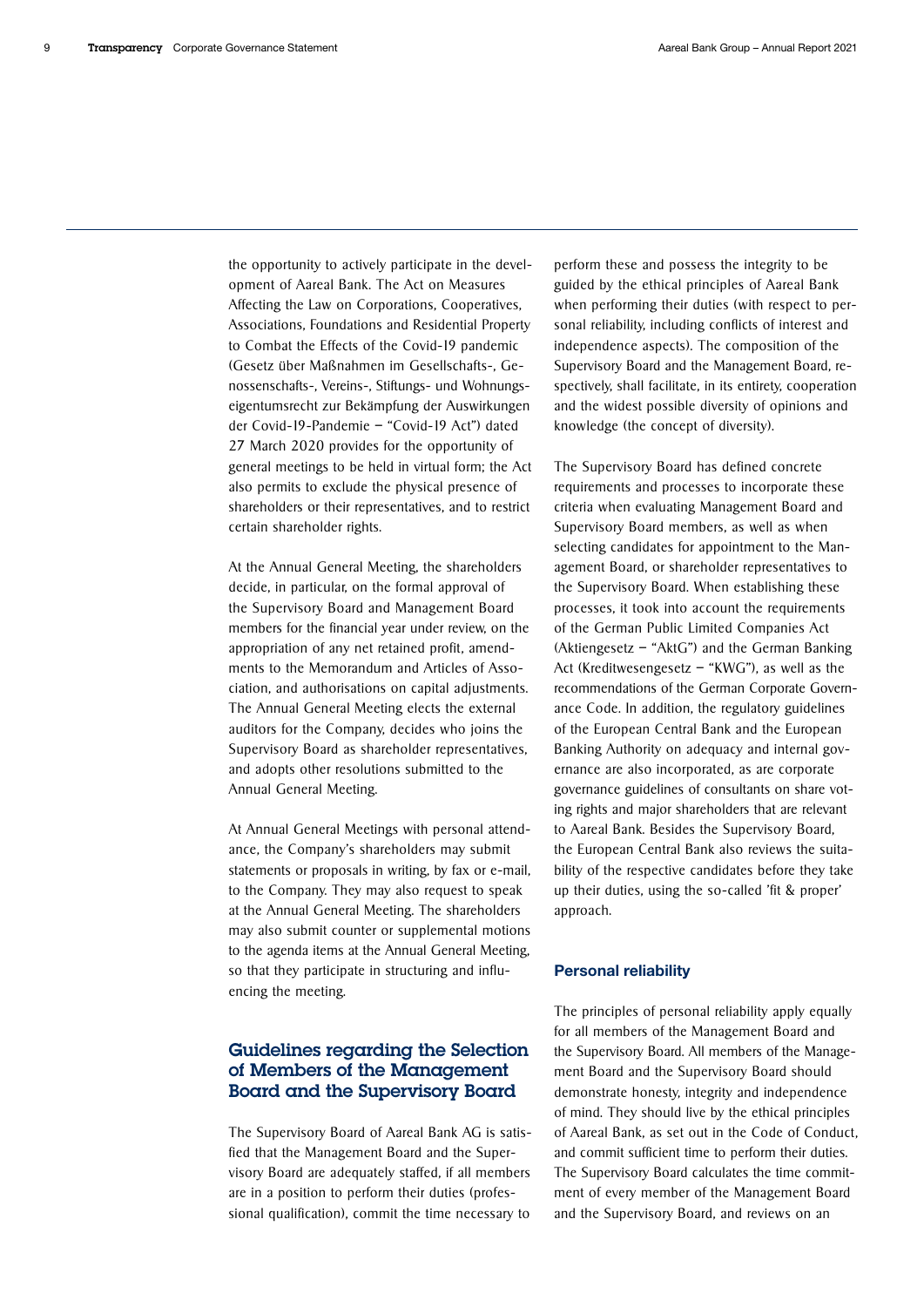the opportunity to actively participate in the development of Aareal Bank. The Act on Measures Affecting the Law on Corporations, Cooperatives, Associations, Foundations and Residential Property to Combat the Effects of the Covid-19 pandemic (Gesetz über Maßnahmen im Gesellschafts-, Genossenschafts-, Vereins-, Stiftungs- und Wohnungseigentumsrecht zur Bekämpfung der Auswirkungen der Covid-19-Pandemie – "Covid-19 Act") dated 27 March 2020 provides for the opportunity of general meetings to be held in virtual form; the Act also permits to exclude the physical presence of shareholders or their representatives, and to restrict certain shareholder rights.

At the Annual General Meeting, the shareholders decide, in particular, on the formal approval of the Supervisory Board and Management Board members for the financial year under review, on the appropriation of any net retained profit, amendments to the Memorandum and Articles of Association, and authorisations on capital adjustments. The Annual General Meeting elects the external auditors for the Company, decides who joins the Supervisory Board as shareholder representatives, and adopts other resolutions submitted to the Annual General Meeting.

At Annual General Meetings with personal attendance, the Company's shareholders may submit statements or proposals in writing, by fax or e-mail, to the Company. They may also request to speak at the Annual General Meeting. The shareholders may also submit counter or supplemental motions to the agenda items at the Annual General Meeting, so that they participate in structuring and influencing the meeting.

# Guidelines regarding the Selection of Members of the Management Board and the Supervisory Board

The Supervisory Board of Aareal Bank AG is satisfied that the Management Board and the Supervisory Board are adequately staffed, if all members are in a position to perform their duties (professional qualification), commit the time necessary to perform these and possess the integrity to be guided by the ethical principles of Aareal Bank when performing their duties (with respect to personal reliability, including conflicts of interest and independence aspects). The composition of the Supervisory Board and the Management Board, respectively, shall facilitate, in its entirety, cooperation and the widest possible diversity of opinions and knowledge (the concept of diversity).

The Supervisory Board has defined concrete requirements and processes to incorporate these criteria when evaluating Management Board and Supervisory Board members, as well as when selecting candidates for appointment to the Management Board, or shareholder representatives to the Supervisory Board. When establishing these processes, it took into account the requirements of the German Public Limited Companies Act (Aktiengesetz – "AktG") and the German Banking Act (Kreditwesengesetz – "KWG"), as well as the recommendations of the German Corporate Governance Code. In addition, the regulatory guidelines of the European Central Bank and the European Banking Authority on adequacy and internal governance are also incorporated, as are corporate governance guidelines of consultants on share voting rights and major shareholders that are relevant to Aareal Bank. Besides the Supervisory Board, the European Central Bank also reviews the suitability of the respective candidates before they take up their duties, using the so-called 'fit & proper' approach.

#### Personal reliability

The principles of personal reliability apply equally for all members of the Management Board and the Supervisory Board. All members of the Management Board and the Supervisory Board should demonstrate honesty, integrity and independence of mind. They should live by the ethical principles of Aareal Bank, as set out in the Code of Conduct, and commit sufficient time to perform their duties. The Supervisory Board calculates the time commitment of every member of the Management Board and the Supervisory Board, and reviews on an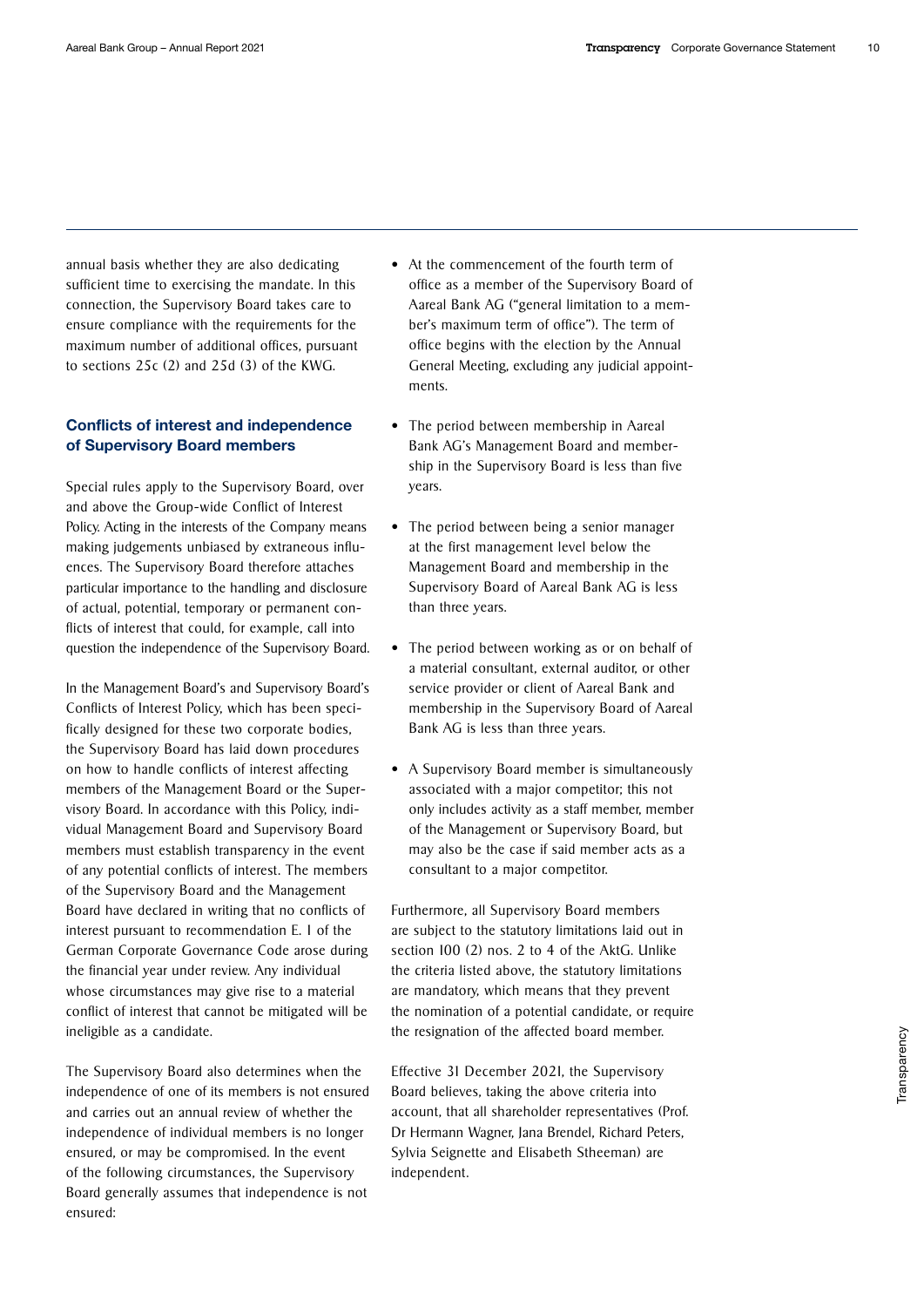annual basis whether they are also dedicating sufficient time to exercising the mandate. In this connection, the Supervisory Board takes care to ensure compliance with the requirements for the maximum number of additional offices, pursuant to sections 25c (2) and 25d (3) of the KWG.

### Conflicts of interest and independence of Supervisory Board members

Special rules apply to the Supervisory Board, over and above the Group-wide Conflict of Interest Policy. Acting in the interests of the Company means making judgements unbiased by extraneous influences. The Supervisory Board therefore attaches particular importance to the handling and disclosure of actual, potential, temporary or permanent conflicts of interest that could, for example, call into question the independence of the Supervisory Board.

In the Management Board's and Supervisory Board's Conflicts of Interest Policy, which has been specifically designed for these two corporate bodies, the Supervisory Board has laid down procedures on how to handle conflicts of interest affecting members of the Management Board or the Supervisory Board. In accordance with this Policy, individual Management Board and Supervisory Board members must establish transparency in the event of any potential conflicts of interest. The members of the Supervisory Board and the Management Board have declared in writing that no conflicts of interest pursuant to recommendation E. 1 of the German Corporate Governance Code arose during the financial year under review. Any individual whose circumstances may give rise to a material conflict of interest that cannot be mitigated will be ineligible as a candidate.

The Supervisory Board also determines when the independence of one of its members is not ensured and carries out an annual review of whether the independence of individual members is no longer ensured, or may be compromised. In the event of the following circumstances, the Supervisory Board generally assumes that independence is not ensured:

- At the commencement of the fourth term of office as a member of the Supervisory Board of Aareal Bank AG ("general limitation to a member's maximum term of office"). The term of office begins with the election by the Annual General Meeting, excluding any judicial appointments.
- The period between membership in Aareal Bank AG's Management Board and membership in the Supervisory Board is less than five years.
- The period between being a senior manager at the first management level below the Management Board and membership in the Supervisory Board of Aareal Bank AG is less than three years.
- The period between working as or on behalf of a material consultant, external auditor, or other service provider or client of Aareal Bank and membership in the Supervisory Board of Aareal Bank AG is less than three years.
- A Supervisory Board member is simultaneously associated with a major competitor; this not only includes activity as a staff member, member of the Management or Supervisory Board, but may also be the case if said member acts as a consultant to a major competitor.

Furthermore, all Supervisory Board members are subject to the statutory limitations laid out in section 100 (2) nos. 2 to 4 of the AktG. Unlike the criteria listed above, the statutory limitations are mandatory, which means that they prevent the nomination of a potential candidate, or require the resignation of the affected board member.

Effective 31 December 2021, the Supervisory Board believes, taking the above criteria into account, that all shareholder representatives (Prof. Dr Hermann Wagner, Jana Brendel, Richard Peters, Sylvia Seignette and Elisabeth Stheeman) are independent.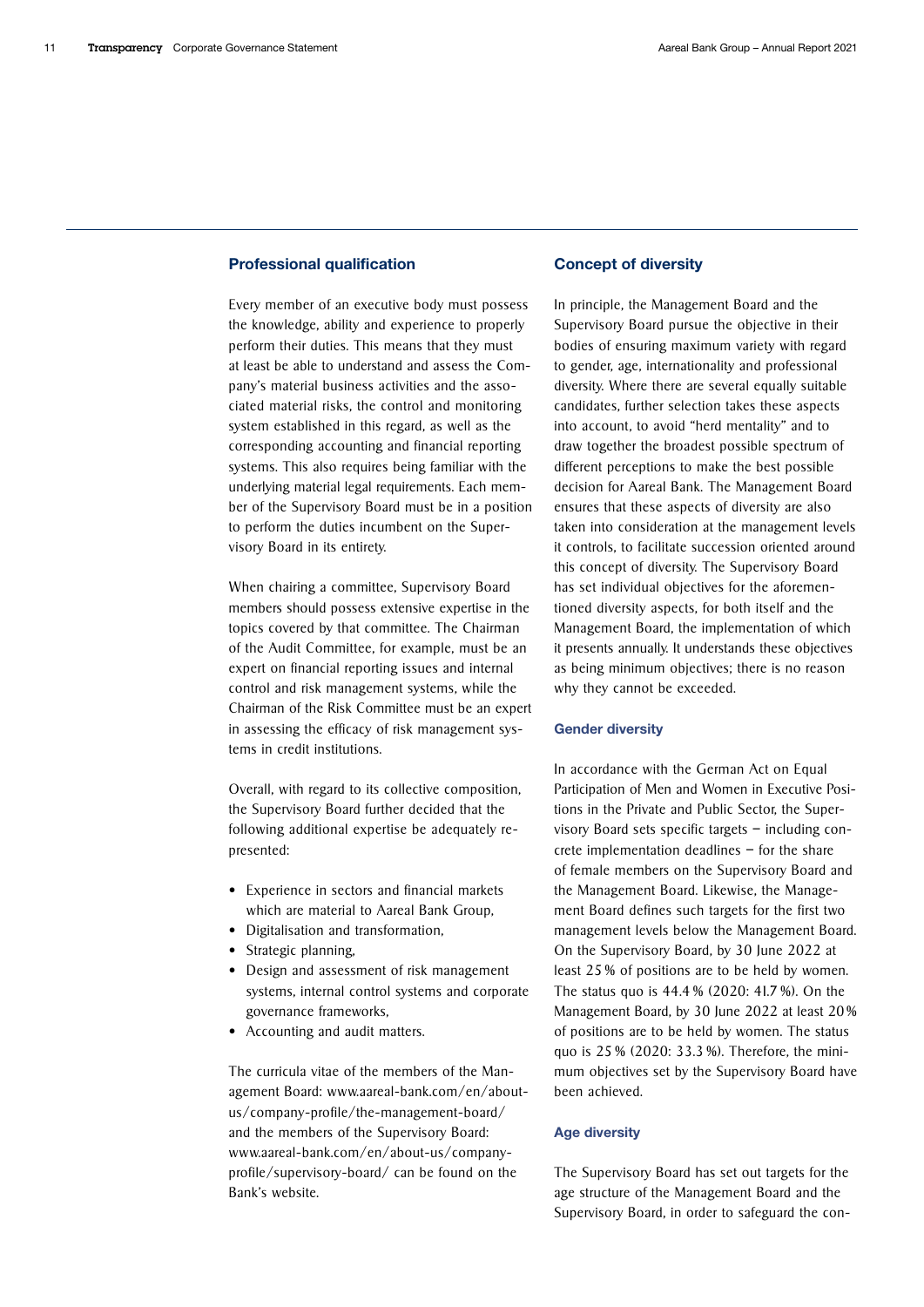### Professional qualification

Every member of an executive body must possess the knowledge, ability and experience to properly perform their duties. This means that they must at least be able to understand and assess the Company's material business activities and the associated material risks, the control and monitoring system established in this regard, as well as the corresponding accounting and financial reporting systems. This also requires being familiar with the underlying material legal requirements. Each member of the Supervisory Board must be in a position to perform the duties incumbent on the Supervisory Board in its entirety.

When chairing a committee, Supervisory Board members should possess extensive expertise in the topics covered by that committee. The Chairman of the Audit Committee, for example, must be an expert on financial reporting issues and internal control and risk management systems, while the Chairman of the Risk Committee must be an expert in assessing the efficacy of risk management systems in credit institutions.

Overall, with regard to its collective composition, the Supervisory Board further decided that the following additional expertise be adequately represented:

- Experience in sectors and financial markets which are material to Aareal Bank Group,
- Digitalisation and transformation,
- Strategic planning,
- Design and assessment of risk management systems, internal control systems and corporate governance frameworks,
- Accounting and audit matters.

The curricula vitae of the members of the Man[agement Board: www.aareal-bank.com/en/about](https://www.aareal-bank.com/en/about-us/company-profile/the-management-board/)[us/company-profile/the-management-board/](https://www.aareal-bank.com/en/about-us/company-profile/the-management-board/)  and the members of the Supervisory Board: [www.aareal-bank.com/en/about-us/company](https://www.aareal-bank.com/en/about-us/company-profile/supervisory-board/)[profile/supervisory-board/](https://www.aareal-bank.com/en/about-us/company-profile/supervisory-board/) can be found on the Bank's website.

#### Concept of diversity

In principle, the Management Board and the Supervisory Board pursue the objective in their bodies of ensuring maximum variety with regard to gender, age, internationality and professional diversity. Where there are several equally suitable candidates, further selection takes these aspects into account, to avoid "herd mentality" and to draw together the broadest possible spectrum of different perceptions to make the best possible decision for Aareal Bank. The Management Board ensures that these aspects of diversity are also taken into consideration at the management levels it controls, to facilitate succession oriented around this concept of diversity. The Supervisory Board has set individual objectives for the aforementioned diversity aspects, for both itself and the Management Board, the implementation of which it presents annually. It understands these objectives as being minimum objectives; there is no reason why they cannot be exceeded.

#### Gender diversity

In accordance with the German Act on Equal Participation of Men and Women in Executive Positions in the Private and Public Sector, the Supervisory Board sets specific targets – including concrete implementation deadlines – for the share of female members on the Supervisory Board and the Management Board. Likewise, the Management Board defines such targets for the first two management levels below the Management Board. On the Supervisory Board, by 30 June 2022 at least 25 % of positions are to be held by women. The status quo is 44.4 % (2020: 41.7 %). On the Management Board, by 30 June 2022 at least 20 % of positions are to be held by women. The status quo is 25 % (2020: 33.3 %). Therefore, the minimum objectives set by the Supervisory Board have been achieved.

#### Age diversity

The Supervisory Board has set out targets for the age structure of the Management Board and the Supervisory Board, in order to safeguard the con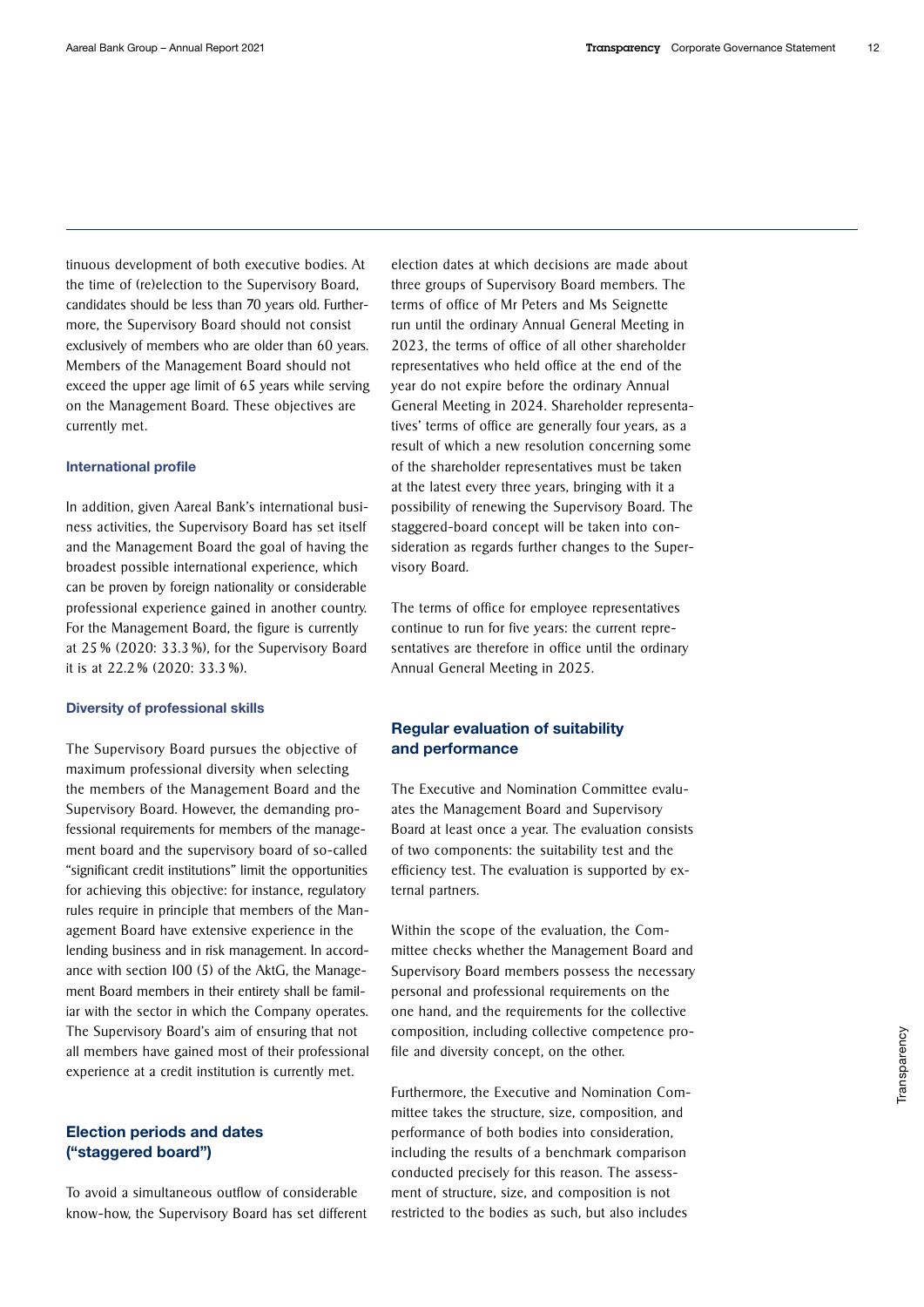tinuous development of both executive bodies. At the time of (re)election to the Supervisory Board, candidates should be less than 70 years old. Furthermore, the Supervisory Board should not consist exclusively of members who are older than 60 years. Members of the Management Board should not exceed the upper age limit of 65 years while serving on the Management Board. These objectives are currently met.

#### International profile

In addition, given Aareal Bank's international business activities, the Supervisory Board has set itself and the Management Board the goal of having the broadest possible international experience, which can be proven by foreign nationality or considerable professional experience gained in another country. For the Management Board, the figure is currently at 25 % (2020: 33.3 %), for the Supervisory Board it is at 22.2 % (2020: 33.3 %).

#### Diversity of professional skills

The Supervisory Board pursues the objective of maximum professional diversity when selecting the members of the Management Board and the Supervisory Board. However, the demanding professional requirements for members of the management board and the supervisory board of so-called "significant credit institutions" limit the opportunities for achieving this objective: for instance, regulatory rules require in principle that members of the Management Board have extensive experience in the lending business and in risk management. In accordance with section 100 (5) of the AktG, the Management Board members in their entirety shall be familiar with the sector in which the Company operates. The Supervisory Board's aim of ensuring that not all members have gained most of their professional experience at a credit institution is currently met.

### Election periods and dates ("staggered board")

To avoid a simultaneous outflow of considerable know-how, the Supervisory Board has set different

election dates at which decisions are made about three groups of Supervisory Board members. The terms of office of Mr Peters and Ms Seignette run until the ordinary Annual General Meeting in 2023, the terms of office of all other shareholder representatives who held office at the end of the year do not expire before the ordinary Annual General Meeting in 2024. Shareholder representatives' terms of office are generally four years, as a result of which a new resolution concerning some of the shareholder representatives must be taken at the latest every three years, bringing with it a possibility of renewing the Supervisory Board. The staggered-board concept will be taken into consideration as regards further changes to the Supervisory Board.

The terms of office for employee representatives continue to run for five years: the current representatives are therefore in office until the ordinary Annual General Meeting in 2025.

### Regular evaluation of suitability and performance

The Executive and Nomination Committee evaluates the Management Board and Supervisory Board at least once a year. The evaluation consists of two components: the suitability test and the efficiency test. The evaluation is supported by external partners.

Within the scope of the evaluation, the Committee checks whether the Management Board and Supervisory Board members possess the necessary personal and professional requirements on the one hand, and the requirements for the collective composition, including collective competence profile and diversity concept, on the other.

Furthermore, the Executive and Nomination Committee takes the structure, size, composition, and performance of both bodies into consideration, including the results of a benchmark comparison conducted precisely for this reason. The assessment of structure, size, and composition is not restricted to the bodies as such, but also includes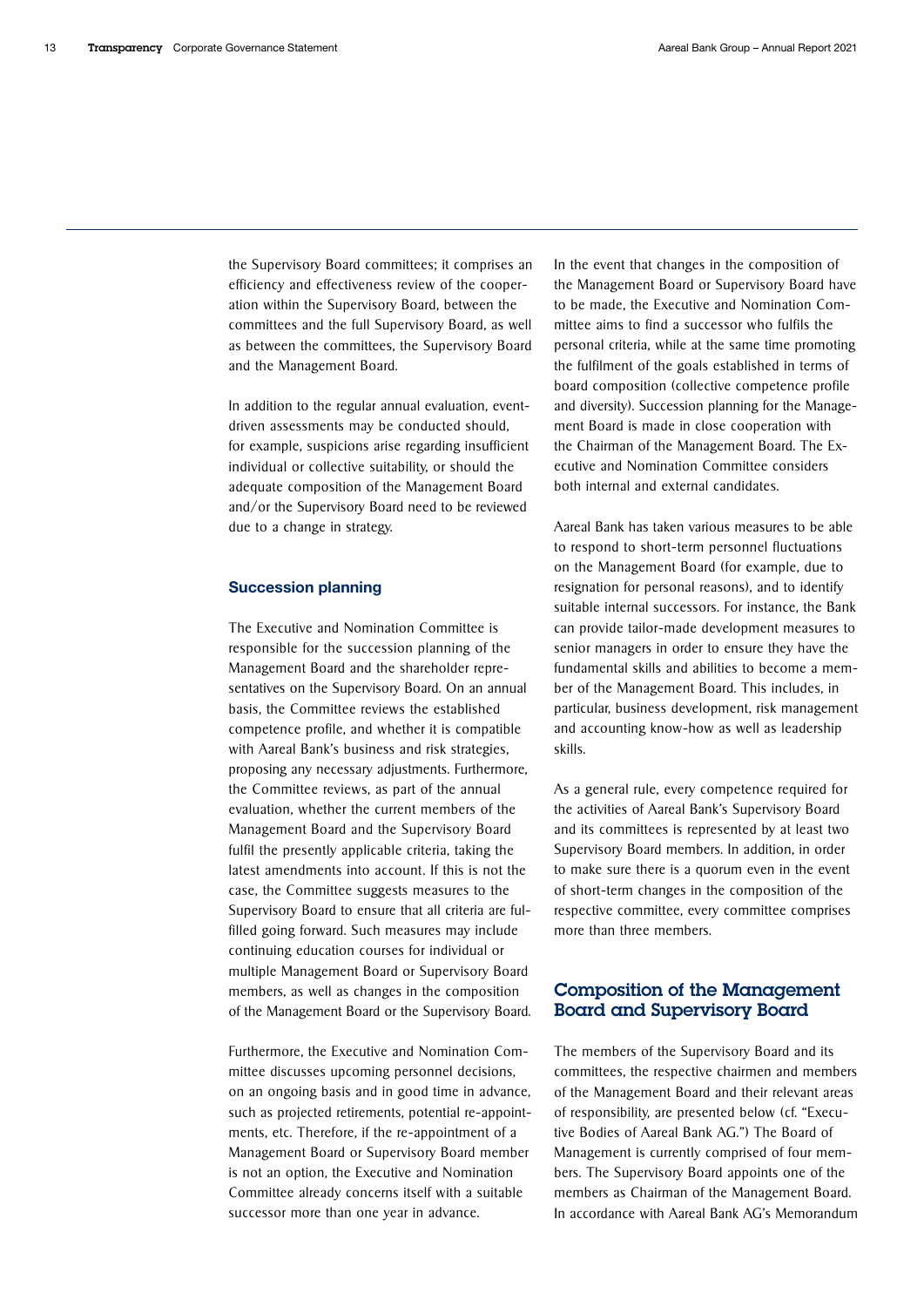the Supervisory Board committees; it comprises an efficiency and effectiveness review of the cooperation within the Supervisory Board, between the committees and the full Supervisory Board, as well as between the committees, the Supervisory Board and the Management Board.

In addition to the regular annual evaluation, eventdriven assessments may be conducted should, for example, suspicions arise regarding insufficient individual or collective suitability, or should the adequate composition of the Management Board and/or the Supervisory Board need to be reviewed due to a change in strategy.

#### Succession planning

The Executive and Nomination Committee is responsible for the succession planning of the Management Board and the shareholder representatives on the Supervisory Board. On an annual basis, the Committee reviews the established competence profile, and whether it is compatible with Aareal Bank's business and risk strategies, proposing any necessary adjustments. Furthermore, the Committee reviews, as part of the annual evaluation, whether the current members of the Management Board and the Supervisory Board fulfil the presently applicable criteria, taking the latest amendments into account. If this is not the case, the Committee suggests measures to the Supervisory Board to ensure that all criteria are fulfilled going forward. Such measures may include continuing education courses for individual or multiple Management Board or Supervisory Board members, as well as changes in the composition of the Management Board or the Supervisory Board.

Furthermore, the Executive and Nomination Committee discusses upcoming personnel decisions, on an ongoing basis and in good time in advance, such as projected retirements, potential re-appointments, etc. Therefore, if the re-appointment of a Management Board or Supervisory Board member is not an option, the Executive and Nomination Committee already concerns itself with a suitable successor more than one year in advance.

In the event that changes in the composition of the Management Board or Supervisory Board have to be made, the Executive and Nomination Committee aims to find a successor who fulfils the personal criteria, while at the same time promoting the fulfilment of the goals established in terms of board composition (collective competence profile and diversity). Succession planning for the Management Board is made in close cooperation with the Chairman of the Management Board. The Executive and Nomination Committee considers both internal and external candidates.

Aareal Bank has taken various measures to be able to respond to short-term personnel fluctuations on the Management Board (for example, due to resignation for personal reasons), and to identify suitable internal successors. For instance, the Bank can provide tailor-made development measures to senior managers in order to ensure they have the fundamental skills and abilities to become a member of the Management Board. This includes, in particular, business development, risk management and accounting know-how as well as leadership skills.

As a general rule, every competence required for the activities of Aareal Bank's Supervisory Board and its committees is represented by at least two Supervisory Board members. In addition, in order to make sure there is a quorum even in the event of short-term changes in the composition of the respective committee, every committee comprises more than three members.

# Composition of the Management Board and Supervisory Board

The members of the Supervisory Board and its committees, the respective chairmen and members of the Management Board and their relevant areas of responsibility, are presented below (cf. "Executive Bodies of Aareal Bank AG.") The Board of Management is currently comprised of four members. The Supervisory Board appoints one of the members as Chairman of the Management Board. In accordance with Aareal Bank AG's Memorandum